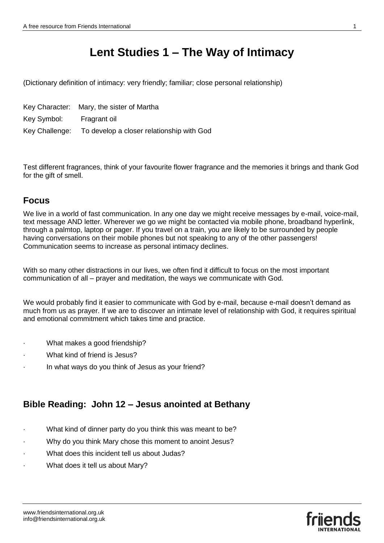# **Lent Studies 1 – The Way of Intimacy**

(Dictionary definition of intimacy: very friendly; familiar; close personal relationship)

|                | Key Character: Mary, the sister of Martha |
|----------------|-------------------------------------------|
| Key Symbol:    | Fragrant oil                              |
| Key Challenge: | To develop a closer relationship with God |

Test different fragrances, think of your favourite flower fragrance and the memories it brings and thank God for the gift of smell.

### **Focus**

We live in a world of fast communication. In any one day we might receive messages by e-mail, voice-mail, text message AND letter. Wherever we go we might be contacted via mobile phone, broadband hyperlink, through a palmtop, laptop or pager. If you travel on a train, you are likely to be surrounded by people having conversations on their mobile phones but not speaking to any of the other passengers! Communication seems to increase as personal intimacy declines.

With so many other distractions in our lives, we often find it difficult to focus on the most important communication of all – prayer and meditation, the ways we communicate with God.

We would probably find it easier to communicate with God by e-mail, because e-mail doesn't demand as much from us as prayer. If we are to discover an intimate level of relationship with God, it requires spiritual and emotional commitment which takes time and practice.

- What makes a good friendship?
- · What kind of friend is Jesus?
- In what ways do you think of Jesus as your friend?

#### **Bible Reading: John 12 – Jesus anointed at Bethany**

- What kind of dinner party do you think this was meant to be?
- · Why do you think Mary chose this moment to anoint Jesus?
- · What does this incident tell us about Judas?
- What does it tell us about Mary?

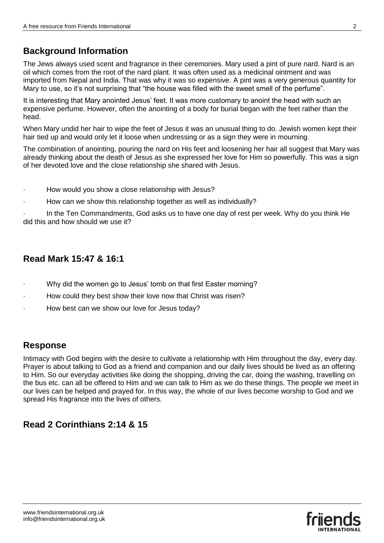## **Background Information**

The Jews always used scent and fragrance in their ceremonies. Mary used a pint of pure nard. Nard is an oil which comes from the root of the nard plant. It was often used as a medicinal ointment and was imported from Nepal and India. That was why it was so expensive. A pint was a very generous quantity for Mary to use, so it's not surprising that "the house was filled with the sweet smell of the perfume".

It is interesting that Mary anointed Jesus' feet. It was more customary to anoint the head with such an expensive perfume. However, often the anointing of a body for burial began with the feet rather than the head.

When Mary undid her hair to wipe the feet of Jesus it was an unusual thing to do. Jewish women kept their hair tied up and would only let it loose when undressing or as a sign they were in mourning.

The combination of anointing, pouring the nard on His feet and loosening her hair all suggest that Mary was already thinking about the death of Jesus as she expressed her love for Him so powerfully. This was a sign of her devoted love and the close relationship she shared with Jesus.

- · How would you show a close relationship with Jesus?
- How can we show this relationship together as well as individually?

In the Ten Commandments, God asks us to have one day of rest per week. Why do you think He did this and how should we use it?

### **Read Mark 15:47 & 16:1**

- · Why did the women go to Jesus' tomb on that first Easter morning?
- How could they best show their love now that Christ was risen?
- How best can we show our love for Jesus today?

#### **Response**

Intimacy with God begins with the desire to cultivate a relationship with Him throughout the day, every day. Prayer is about talking to God as a friend and companion and our daily lives should be lived as an offering to Him. So our everyday activities like doing the shopping, driving the car, doing the washing, travelling on the bus etc. can all be offered to Him and we can talk to Him as we do these things. The people we meet in our lives can be helped and prayed for. In this way, the whole of our lives become worship to God and we spread His fragrance into the lives of others.

# **Read 2 Corinthians 2:14 & 15**

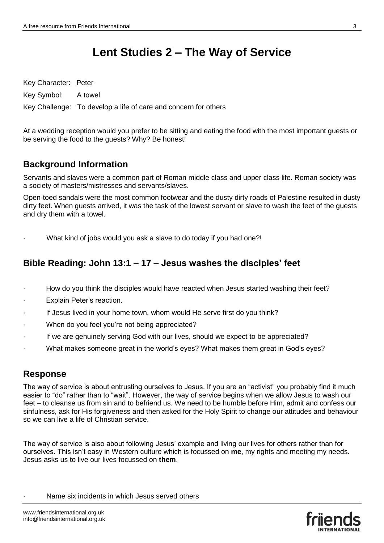# **Lent Studies 2 – The Way of Service**

| Key Character: Peter |                                                                 |
|----------------------|-----------------------------------------------------------------|
| Key Symbol: A towel  |                                                                 |
|                      | Key Challenge: To develop a life of care and concern for others |

At a wedding reception would you prefer to be sitting and eating the food with the most important guests or be serving the food to the guests? Why? Be honest!

# **Background Information**

Servants and slaves were a common part of Roman middle class and upper class life. Roman society was a society of masters/mistresses and servants/slaves.

Open-toed sandals were the most common footwear and the dusty dirty roads of Palestine resulted in dusty dirty feet. When guests arrived, it was the task of the lowest servant or slave to wash the feet of the guests and dry them with a towel.

What kind of jobs would you ask a slave to do today if you had one?!

# **Bible Reading: John 13:1 – 17 – Jesus washes the disciples' feet**

- · How do you think the disciples would have reacted when Jesus started washing their feet?
- Explain Peter's reaction.
- If Jesus lived in your home town, whom would He serve first do you think?
- When do you feel you're not being appreciated?
- If we are genuinely serving God with our lives, should we expect to be appreciated?
- What makes someone great in the world's eyes? What makes them great in God's eyes?

#### **Response**

The way of service is about entrusting ourselves to Jesus. If you are an "activist" you probably find it much easier to "do" rather than to "wait". However, the way of service begins when we allow Jesus to wash our feet – to cleanse us from sin and to befriend us. We need to be humble before Him, admit and confess our sinfulness, ask for His forgiveness and then asked for the Holy Spirit to change our attitudes and behaviour so we can live a life of Christian service.

The way of service is also about following Jesus' example and living our lives for others rather than for ourselves. This isn't easy in Western culture which is focussed on **me**, my rights and meeting my needs. Jesus asks us to live our lives focussed on **them**.

Name six incidents in which Jesus served others

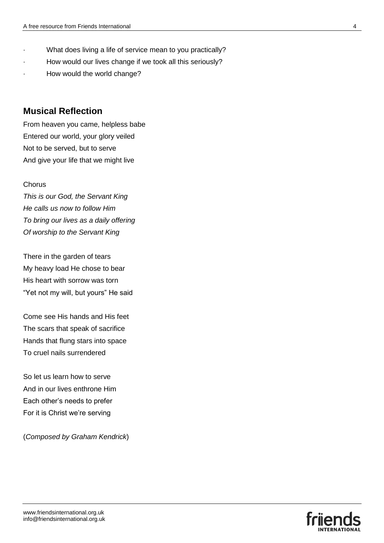- · What does living a life of service mean to you practically?
- How would our lives change if we took all this seriously?
- How would the world change?

#### **Musical Reflection**

From heaven you came, helpless babe Entered our world, your glory veiled Not to be served, but to serve And give your life that we might live

#### **Chorus**

*This is our God, the Servant King He calls us now to follow Him To bring our lives as a daily offering Of worship to the Servant King*

There in the garden of tears My heavy load He chose to bear His heart with sorrow was torn "Yet not my will, but yours" He said

Come see His hands and His feet The scars that speak of sacrifice Hands that flung stars into space To cruel nails surrendered

So let us learn how to serve And in our lives enthrone Him Each other's needs to prefer For it is Christ we're serving

(*Composed by Graham Kendrick*)

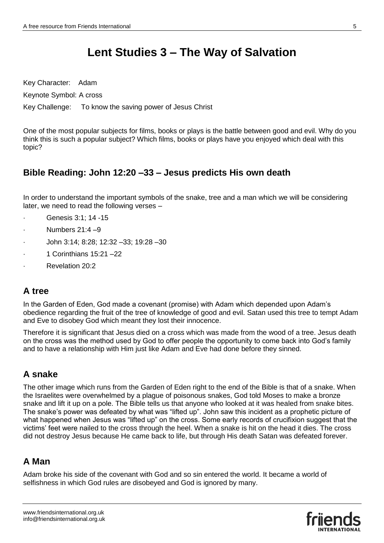# **Lent Studies 3 – The Way of Salvation**

Key Character: Adam

Keynote Symbol: A cross

Key Challenge: To know the saving power of Jesus Christ

One of the most popular subjects for films, books or plays is the battle between good and evil. Why do you think this is such a popular subject? Which films, books or plays have you enjoyed which deal with this topic?

### **Bible Reading: John 12:20 –33 – Jesus predicts His own death**

In order to understand the important symbols of the snake, tree and a man which we will be considering later, we need to read the following verses –

- · Genesis 3:1; 14 -15
- Numbers 21:4-9
- · John 3:14; 8:28; 12:32 –33; 19:28 –30
- · 1 Corinthians 15:21 –22
- · Revelation 20:2

# **A tree**

In the Garden of Eden, God made a covenant (promise) with Adam which depended upon Adam's obedience regarding the fruit of the tree of knowledge of good and evil. Satan used this tree to tempt Adam and Eve to disobey God which meant they lost their innocence.

Therefore it is significant that Jesus died on a cross which was made from the wood of a tree. Jesus death on the cross was the method used by God to offer people the opportunity to come back into God's family and to have a relationship with Him just like Adam and Eve had done before they sinned.

# **A snake**

The other image which runs from the Garden of Eden right to the end of the Bible is that of a snake. When the Israelites were overwhelmed by a plague of poisonous snakes, God told Moses to make a bronze snake and lift it up on a pole. The Bible tells us that anyone who looked at it was healed from snake bites. The snake's power was defeated by what was "lifted up". John saw this incident as a prophetic picture of what happened when Jesus was "lifted up" on the cross. Some early records of crucifixion suggest that the victims' feet were nailed to the cross through the heel. When a snake is hit on the head it dies. The cross did not destroy Jesus because He came back to life, but through His death Satan was defeated forever.

# **A Man**

Adam broke his side of the covenant with God and so sin entered the world. It became a world of selfishness in which God rules are disobeyed and God is ignored by many.

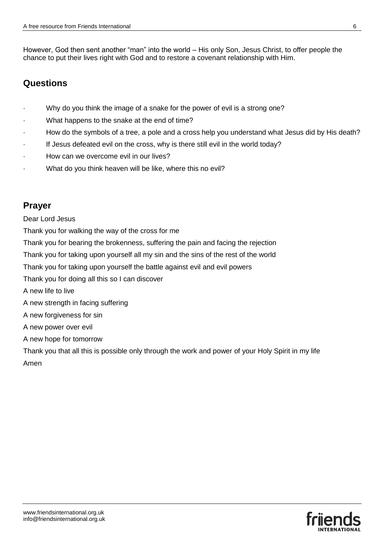However, God then sent another "man" into the world – His only Son, Jesus Christ, to offer people the chance to put their lives right with God and to restore a covenant relationship with Him.

### **Questions**

- Why do you think the image of a snake for the power of evil is a strong one?
- What happens to the snake at the end of time?
- How do the symbols of a tree, a pole and a cross help you understand what Jesus did by His death?
- If Jesus defeated evil on the cross, why is there still evil in the world today?
- How can we overcome evil in our lives?
- What do you think heaven will be like, where this no evil?

# **Prayer**

Dear Lord Jesus

Thank you for walking the way of the cross for me

Thank you for bearing the brokenness, suffering the pain and facing the rejection

Thank you for taking upon yourself all my sin and the sins of the rest of the world

Thank you for taking upon yourself the battle against evil and evil powers

Thank you for doing all this so I can discover

A new life to live

A new strength in facing suffering

A new forgiveness for sin

A new power over evil

A new hope for tomorrow

Thank you that all this is possible only through the work and power of your Holy Spirit in my life Amen

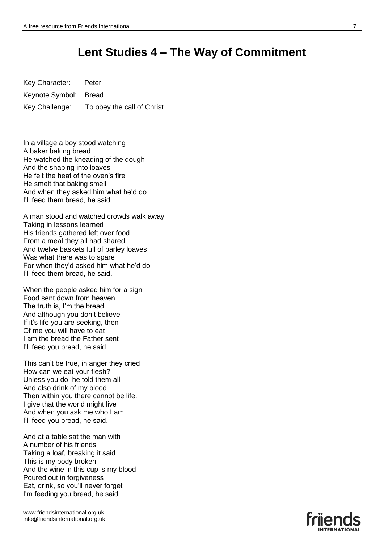# **Lent Studies 4 – The Way of Commitment**

Key Character: Peter Keynote Symbol: Bread Key Challenge: To obey the call of Christ

In a village a boy stood watching A baker baking bread He watched the kneading of the dough And the shaping into loaves He felt the heat of the oven's fire He smelt that baking smell And when they asked him what he'd do I'll feed them bread, he said.

A man stood and watched crowds walk away Taking in lessons learned His friends gathered left over food From a meal they all had shared And twelve baskets full of barley loaves Was what there was to spare For when they'd asked him what he'd do I'll feed them bread, he said.

When the people asked him for a sign Food sent down from heaven The truth is, I'm the bread And although you don't believe If it's life you are seeking, then Of me you will have to eat I am the bread the Father sent I'll feed you bread, he said.

This can't be true, in anger they cried How can we eat your flesh? Unless you do, he told them all And also drink of my blood Then within you there cannot be life. I give that the world might live And when you ask me who I am I'll feed you bread, he said.

And at a table sat the man with A number of his friends Taking a loaf, breaking it said This is my body broken And the wine in this cup is my blood Poured out in forgiveness Eat, drink, so you'll never forget I'm feeding you bread, he said.

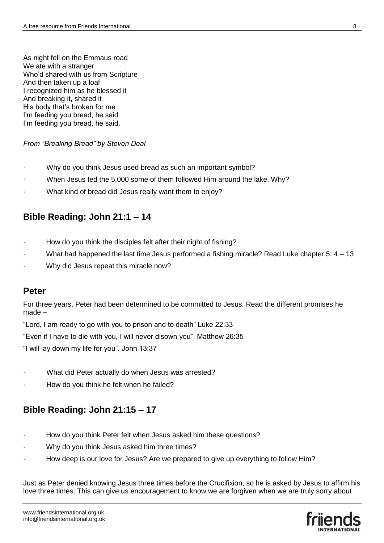As night fell on the Emmaus road We ate with a stranger Who'd shared with us from Scripture And then taken up a loaf I recognized him as he blessed it And breaking it, shared it His body that's broken for me I'm feeding you bread, he said I'm feeding you bread, he said.

#### *From "Breaking Bread" by Steven Deal*

- · Why do you think Jesus used bread as such an important symbol?
- When Jesus fed the 5,000 some of them followed Him around the lake. Why?
- What kind of bread did Jesus really want them to enjoy?

#### **Bible Reading: John 21:1 – 14**

- How do you think the disciples felt after their night of fishing?
- · What had happened the last time Jesus performed a fishing miracle? Read Luke chapter 5: 4 13
- · Why did Jesus repeat this miracle now?

#### **Peter**

For three years, Peter had been determined to be committed to Jesus. Read the different promises he made –

"Lord, I am ready to go with you to prison and to death" Luke 22:33

"Even if I have to die with you, I will never disown you". Matthew 26:35

"I will lay down my life for you". John 13:37

- · What did Peter actually do when Jesus was arrested?
- · How do you think he felt when he failed?

#### **Bible Reading: John 21:15 – 17**

- How do you think Peter felt when Jesus asked him these questions?
- Why do you think Jesus asked him three times?
- How deep is our love for Jesus? Are we prepared to give up everything to follow Him?

Just as Peter denied knowing Jesus three times before the Crucifixion, so he is asked by Jesus to affirm his love three times. This can give us encouragement to know we are forgiven when we are truly sorry about